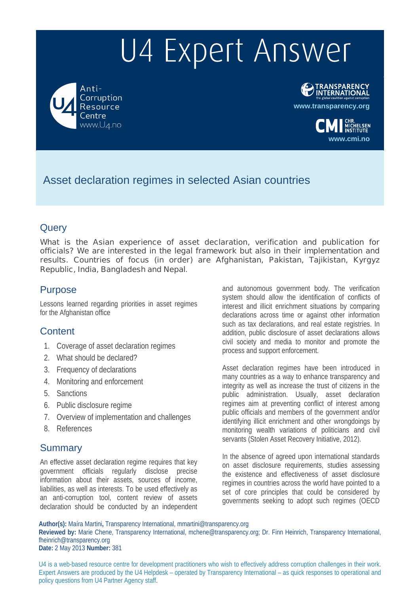Anti-Corruption Resource Centre www.U4.no



**www.cmi.no**

.<br>HELSEN<br>TITIITE

Asset declaration regimes in selected Asian countries

### **Query**

**What is the Asian experience of asset declaration, verification and publication for officials? We are interested in the legal framework but also in their implementation and results. Countries of focus (in order) are Afghanistan, Pakistan, Tajikistan, Kyrgyz Republic, India, Bangladesh and Nepal**.

### Purpose

Lessons learned regarding priorities in asset regimes for the Afghanistan office

### **Content**

- 1. Coverage of asset declaration regimes
- 2. What should be declared?
- 3. Frequency of declarations
- 4. Monitoring and enforcement
- 5. Sanctions
- 6. Public disclosure regime
- 7. Overview of implementation and challenges
- 8. References

### **Summary**

An effective asset declaration regime requires that key government officials regularly disclose precise information about their assets, sources of income, liabilities, as well as interests. To be used effectively as an anti-corruption tool, content review of assets declaration should be conducted by an independent

and autonomous government body. The verification system should allow the identification of conflicts of interest and illicit enrichment situations by comparing declarations across time or against other information such as tax declarations, and real estate registries. In addition, public disclosure of asset declarations allows civil society and media to monitor and promote the process and support enforcement.

Asset declaration regimes have been introduced in many countries as a way to enhance transparency and integrity as well as increase the trust of citizens in the public administration. Usually, asset declaration regimes aim at preventing conflict of interest among public officials and members of the government and/or identifying illicit enrichment and other wrongdoings by monitoring wealth variations of politicians and civil servants (Stolen Asset Recovery Initiative, 2012).

In the absence of agreed upon international standards on asset disclosure requirements, studies assessing the existence and effectiveness of asset disclosure regimes in countries across the world have pointed to a set of core principles that could be considered by governments seeking to adopt such regimes (OECD

**Author(s):** Maíra Martini**,** Transparency International, mmartini@transparency.org **Reviewed by:** Marie Chene, Transparency International, mchene@transparency.org; Dr. Finn Heinrich, Transparency International, fheinrich@transparency.org **Date:** 2 May 2013 **Number:** 381

U4 is a web-based resource centre for development practitioners who wish to effectively address corruption challenges in their work. Expert Answers are produced by the U4 Helpdesk – operated by Transparency International – as quick responses to operational and policy questions from U4 Partner Agency staff.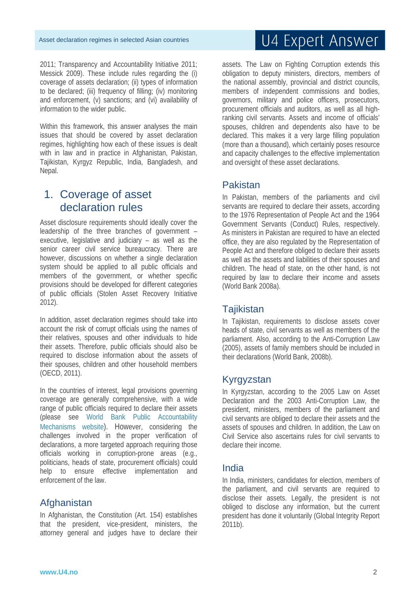2011; Transparency and Accountability Initiative 2011; Messick 2009). These include rules regarding the (i) coverage of assets declaration; (ii) types of information to be declared; (iii) frequency of filling; (iv) monitoring and enforcement, (v) sanctions; and (vi) availability of information to the wider public.

Within this framework, this answer analyses the main issues that should be covered by asset declaration regimes, highlighting how each of these issues is dealt with in law and in practice in Afghanistan, Pakistan, Tajikistan, Kyrgyz Republic, India, Bangladesh, and Nepal.

### 1. Coverage of asset declaration rules

Asset disclosure requirements should ideally cover the leadership of the three branches of government – executive, legislative and judiciary – as well as the senior career civil service bureaucracy. There are however, discussions on whether a single declaration system should be applied to all public officials and members of the government, or whether specific provisions should be developed for different categories of public officials (Stolen Asset Recovery Initiative 2012).

In addition, asset declaration regimes should take into account the risk of corrupt officials using the names of their relatives, spouses and other individuals to hide their assets. Therefore, public officials should also be required to disclose information about the assets of their spouses, children and other household members (OECD, 2011).

In the countries of interest, legal provisions governing coverage are generally comprehensive, with a wide range of public officials required to declare their assets (please see World Bank Public Accountability Mechanisms website). However, considering the challenges involved in the proper verification of declarations, a more targeted approach requiring those officials working in corruption-prone areas (e.g., politicians, heads of state, procurement officials) could help to ensure effective implementation and enforcement of the law.

### **Afghanistan**

In Afghanistan, the Constitution (Art. 154) establishes that the president, vice-president, ministers, the attorney general and judges have to declare their

# U4 Expert Answer

assets. The Law on Fighting Corruption extends this obligation to deputy ministers, directors, members of the national assembly, provincial and district councils, members of independent commissions and bodies, governors, military and police officers, prosecutors, procurement officials and auditors, as well as all highranking civil servants. Assets and income of officials' spouses, children and dependents also have to be declared. This makes it a very large filling population (more than a thousand), which certainly poses resource and capacity challenges to the effective implementation and oversight of these asset declarations.

#### Pakistan

In Pakistan, members of the parliaments and civil servants are required to declare their assets, according to the 1976 Representation of People Act and the 1964 Government Servants (Conduct) Rules, respectively. As ministers in Pakistan are required to have an elected office, they are also regulated by the Representation of People Act and therefore obliged to declare their assets as well as the assets and liabilities of their spouses and children. The head of state, on the other hand, is not required by law to declare their income and assets (World Bank 2008a).

#### Tajikistan

In Tajikistan, requirements to disclose assets cover heads of state, civil servants as well as members of the parliament. Also, according to the Anti-Corruption Law (2005), assets of family members should be included in their declarations (World Bank, 2008b).

### Kyrgyzstan

In Kyrgyzstan, according to the 2005 Law on Asset Declaration and the 2003 Anti-Corruption Law, the president, ministers, members of the parliament and civil servants are obliged to declare their assets and the assets of spouses and children. In addition, the Law on Civil Service also ascertains rules for civil servants to declare their income.

### India

In India, ministers, candidates for election, members of the parliament, and civil servants are required to disclose their assets. Legally, the president is not obliged to disclose any information, but the current president has done it voluntarily (Global Integrity Report 2011b).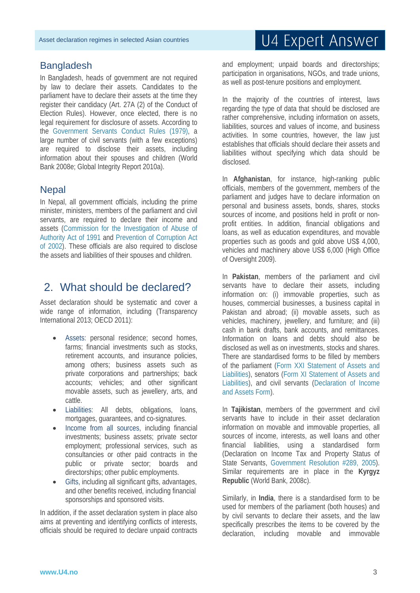#### **Bangladesh**

In Bangladesh, heads of government are not required by law to declare their assets. Candidates to the parliament have to declare their assets at the time they register their candidacy (Art. 27A (2) of the Conduct of Election Rules). However, once elected, there is no legal requirement for disclosure of assets. According to the Government Servants Conduct Rules (1979), a large number of civil servants (with a few exceptions) are required to disclose their assets, including information about their spouses and children (World Bank 2008e; Global Integrity Report 2010a).

### **Nepal**

In Nepal, all government officials, including the prime minister, ministers, members of the parliament and civil servants, are required to declare their income and assets (Commission for the Investigation of Abuse of Authority Act of 1991 and Prevention of Corruption Act of 2002). These officials are also required to disclose the assets and liabilities of their spouses and children.

### 2. What should be declared?

Asset declaration should be systematic and cover a wide range of information, including (Transparency International 2013; OECD 2011):

- Assets: personal residence; second homes, farms; financial investments such as stocks, retirement accounts, and insurance policies, among others; business assets such as private corporations and partnerships; back accounts; vehicles; and other significant movable assets, such as jewellery, arts, and cattle.
- Liabilities: All debts, obligations, loans, mortgages, guarantees, and co-signatures.
- Income from all sources, including financial investments; business assets; private sector employment; professional services, such as consultancies or other paid contracts in the public or private sector; boards and directorships; other public employments.
- Gifts, including all significant gifts, advantages, and other benefits received, including financial sponsorships and sponsored visits.

In addition, if the asset declaration system in place also aims at preventing and identifying conflicts of interests, officials should be required to declare unpaid contracts

# U4 Expert Answer

and employment; unpaid boards and directorships; participation in organisations, NGOs, and trade unions, as well as post-tenure positions and employment.

In the majority of the countries of interest, laws regarding the type of data that should be disclosed are rather comprehensive, including information on assets, liabilities, sources and values of income, and business activities. In some countries, however, the law just establishes that officials should declare their assets and liabilities without specifying which data should be disclosed.

In **Afghanistan**, for instance, high-ranking public officials, members of the government, members of the parliament and judges have to declare information on personal and business assets, bonds, shares, stocks sources of income, and positions held in profit or nonprofit entities. In addition, financial obligations and loans, as well as education expenditures, and movable properties such as goods and gold above US\$ 4,000, vehicles and machinery above US\$ 6,000 (High Office of Oversight 2009).

In **Pakistan**, members of the parliament and civil servants have to declare their assets, including information on: (i) immovable properties, such as houses, commercial businesses, a business capital in Pakistan and abroad; (ii) movable assets, such as vehicles, machinery, jewellery, and furniture; and (iii) cash in bank drafts, bank accounts, and remittances. Information on loans and debts should also be disclosed as well as on investments, stocks and shares. There are standardised forms to be filled by members of the parliament (Form XXI Statement of Assets and Liabilities), senators (Form XI Statement of Assets and Liabilities), and civil servants (Declaration of Income and Assets Form).

In **Tajikistan**, members of the government and civil servants have to include in their asset declaration information on movable and immovable properties, all sources of income, interests, as well loans and other financial liabilities, using a standardised form (Declaration on Income Tax and Property Status of State Servants, Government Resolution #289, 2005). Similar requirements are in place in the **Kyrgyz Republic** (World Bank, 2008c).

Similarly, in **India**, there is a standardised form to be used for members of the parliament (both houses) and by civil servants to declare their assets, and the law specifically prescribes the items to be covered by the declaration, including movable and immovable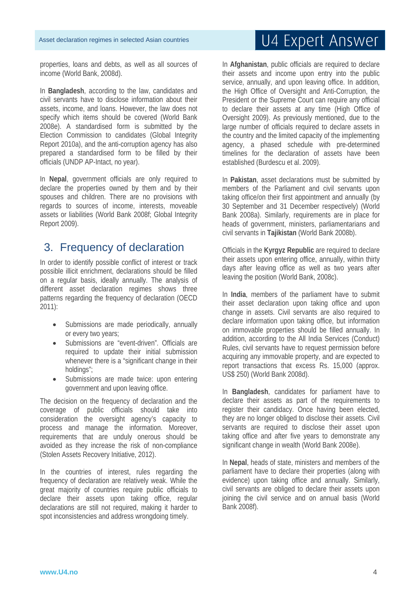properties, loans and debts, as well as all sources of income (World Bank, 2008d).

In **Bangladesh**, according to the law, candidates and civil servants have to disclose information about their assets, income, and loans. However, the law does not specify which items should be covered (World Bank 2008e). A standardised form is submitted by the Election Commission to candidates (Global Integrity Report 2010a), and the anti-corruption agency has also prepared a standardised form to be filled by their officials (UNDP AP-Intact, no year).

In **Nepal**, government officials are only required to declare the properties owned by them and by their spouses and children. There are no provisions with regards to sources of income, interests, moveable assets or liabilities (World Bank 2008f; Global Integrity Report 2009).

### 3. Frequency of declaration

In order to identify possible conflict of interest or track possible illicit enrichment, declarations should be filled on a regular basis, ideally annually. The analysis of different asset declaration regimes shows three patterns regarding the frequency of declaration (OECD 2011):

- Submissions are made periodically, annually or every two years;
- Submissions are "event-driven". Officials are required to update their initial submission whenever there is a "significant change in their holdings";
- Submissions are made twice: upon entering government and upon leaving office.

The decision on the frequency of declaration and the coverage of public officials should take into consideration the oversight agency's capacity to process and manage the information. Moreover, requirements that are unduly onerous should be avoided as they increase the risk of non-compliance (Stolen Assets Recovery Initiative, 2012).

In the countries of interest, rules regarding the frequency of declaration are relatively weak. While the great majority of countries require public officials to declare their assets upon taking office, regular declarations are still not required, making it harder to spot inconsistencies and address wrongdoing timely.

# U4 Expert Answer

In **Afghanistan**, public officials are required to declare their assets and income upon entry into the public service, annually, and upon leaving office. In addition, the High Office of Oversight and Anti-Corruption, the President or the Supreme Court can require any official to declare their assets at any time (High Office of Oversight 2009). As previously mentioned, due to the large number of officials required to declare assets in the country and the limited capacity of the implementing agency, a phased schedule with pre-determined timelines for the declaration of assets have been established (Burdescu et al. 2009).

In **Pakistan**, asset declarations must be submitted by members of the Parliament and civil servants upon taking office/on their first appointment and annually (by 30 September and 31 December respectively) (World Bank 2008a). Similarly, requirements are in place for heads of government, ministers, parliamentarians and civil servants in **Tajikistan** (World Bank 2008b).

Officials in the **Kyrgyz Republic** are required to declare their assets upon entering office, annually, within thirty days after leaving office as well as two years after leaving the position (World Bank, 2008c).

In **India**, members of the parliament have to submit their asset declaration upon taking office and upon change in assets. Civil servants are also required to declare information upon taking office, but information on immovable properties should be filled annually. In addition, according to the All India Services (Conduct) Rules, civil servants have to request permission before acquiring any immovable property, and are expected to report transactions that excess Rs. 15,000 (approx. US\$ 250) (World Bank 2008d).

In **Bangladesh**, candidates for parliament have to declare their assets as part of the requirements to register their candidacy. Once having been elected, they are no longer obliged to disclose their assets. Civil servants are required to disclose their asset upon taking office and after five years to demonstrate any significant change in wealth (World Bank 2008e).

In **Nepal**, heads of state, ministers and members of the parliament have to declare their properties (along with evidence) upon taking office and annually. Similarly, civil servants are obliged to declare their assets upon joining the civil service and on annual basis (World Bank 2008f).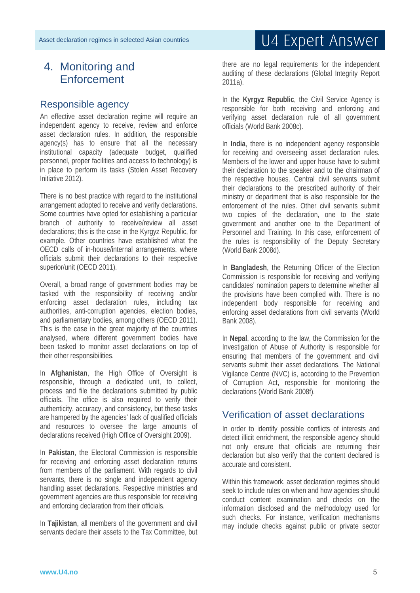### 4. Monitoring and **Enforcement**

#### Responsible agency

An effective asset declaration regime will require an independent agency to receive, review and enforce asset declaration rules. In addition, the responsible agency(s) has to ensure that all the necessary institutional capacity (adequate budget, qualified personnel, proper facilities and access to technology) is in place to perform its tasks (Stolen Asset Recovery Initiative 2012).

There is no best practice with regard to the institutional arrangement adopted to receive and verify declarations. Some countries have opted for establishing a particular branch of authority to receive/review all asset declarations; this is the case in the Kyrgyz Republic, for example. Other countries have established what the OECD calls of in-house/internal arrangements, where officials submit their declarations to their respective superior/unit (OECD 2011).

Overall, a broad range of government bodies may be tasked with the responsibility of receiving and/or enforcing asset declaration rules, including tax authorities, anti-corruption agencies, election bodies, and parliamentary bodies, among others (OECD 2011). This is the case in the great majority of the countries analysed, where different government bodies have been tasked to monitor asset declarations on top of their other responsibilities.

In **Afghanistan**, the High Office of Oversight is responsible, through a dedicated unit, to collect, process and file the declarations submitted by public officials. The office is also required to verify their authenticity, accuracy, and consistency, but these tasks are hampered by the agencies' lack of qualified officials and resources to oversee the large amounts of declarations received (High Office of Oversight 2009).

In **Pakistan**, the Electoral Commission is responsible for receiving and enforcing asset declaration returns from members of the parliament. With regards to civil servants, there is no single and independent agency handling asset declarations. Respective ministries and government agencies are thus responsible for receiving and enforcing declaration from their officials.

In **Tajikistan**, all members of the government and civil servants declare their assets to the Tax Committee, but

# U4 Expert Answer

there are no legal requirements for the independent auditing of these declarations (Global Integrity Report 2011a).

In the **Kyrgyz Republic**, the Civil Service Agency is responsible for both receiving and enforcing and verifying asset declaration rule of all government officials (World Bank 2008c).

In **India**, there is no independent agency responsible for receiving and overseeing asset declaration rules. Members of the lower and upper house have to submit their declaration to the speaker and to the chairman of the respective houses. Central civil servants submit their declarations to the prescribed authority of their ministry or department that is also responsible for the enforcement of the rules. Other civil servants submit two copies of the declaration, one to the state government and another one to the Department of Personnel and Training. In this case, enforcement of the rules is responsibility of the Deputy Secretary (World Bank 2008d).

In **Bangladesh**, the Returning Officer of the Election Commission is responsible for receiving and verifying candidates' nomination papers to determine whether all the provisions have been complied with. There is no independent body responsible for receiving and enforcing asset declarations from civil servants (World Bank 2008).

In **Nepal**, according to the law, the Commission for the Investigation of Abuse of Authority is responsible for ensuring that members of the government and civil servants submit their asset declarations. The National Vigilance Centre (NVC) is, according to the Prevention of Corruption Act, responsible for monitoring the declarations (World Bank 2008f).

### Verification of asset declarations

In order to identify possible conflicts of interests and detect illicit enrichment, the responsible agency should not only ensure that officials are returning their declaration but also verify that the content declared is accurate and consistent.

Within this framework, asset declaration regimes should seek to include rules on when and how agencies should conduct content examination and checks on the information disclosed and the methodology used for such checks. For instance, verification mechanisms may include checks against public or private sector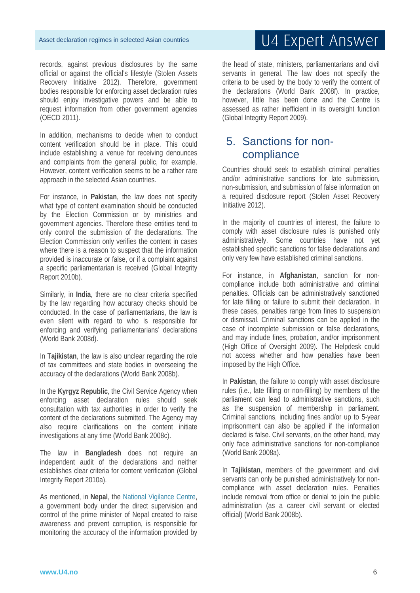records, against previous disclosures by the same official or against the official's lifestyle (Stolen Assets Recovery Initiative 2012). Therefore, government bodies responsible for enforcing asset declaration rules should enjoy investigative powers and be able to request information from other government agencies (OECD 2011).

In addition, mechanisms to decide when to conduct content verification should be in place. This could include establishing a venue for receiving denounces and complaints from the general public, for example. However, content verification seems to be a rather rare approach in the selected Asian countries.

For instance, in **Pakistan**, the law does not specify what type of content examination should be conducted by the Election Commission or by ministries and government agencies. Therefore these entities tend to only control the submission of the declarations. The Election Commission only verifies the content in cases where there is a reason to suspect that the information provided is inaccurate or false, or if a complaint against a specific parliamentarian is received (Global Integrity Report 2010b).

Similarly, in **India**, there are no clear criteria specified by the law regarding how accuracy checks should be conducted. In the case of parliamentarians, the law is even silent with regard to who is responsible for enforcing and verifying parliamentarians' declarations (World Bank 2008d).

In **Tajikistan**, the law is also unclear regarding the role of tax committees and state bodies in overseeing the accuracy of the declarations (World Bank 2008b).

In the **Kyrgyz Republic**, the Civil Service Agency when enforcing asset declaration rules should seek consultation with tax authorities in order to verify the content of the declarations submitted. The Agency may also require clarifications on the content initiate investigations at any time (World Bank 2008c).

The law in **Bangladesh** does not require an independent audit of the declarations and neither establishes clear criteria for content verification (Global Integrity Report 2010a).

As mentioned, in **Nepal**, the National Vigilance Centre, a government body under the direct supervision and control of the prime minister of Nepal created to raise awareness and prevent corruption, is responsible for monitoring the accuracy of the information provided by the head of state, ministers, parliamentarians and civil servants in general. The law does not specify the criteria to be used by the body to verify the content of the declarations (World Bank 2008f). In practice, however, little has been done and the Centre is assessed as rather inefficient in its oversight function (Global Integrity Report 2009).

### 5. Sanctions for noncompliance

Countries should seek to establish criminal penalties and/or administrative sanctions for late submission, non-submission, and submission of false information on a required disclosure report (Stolen Asset Recovery Initiative 2012).

In the majority of countries of interest, the failure to comply with asset disclosure rules is punished only administratively. Some countries have not yet established specific sanctions for false declarations and only very few have established criminal sanctions.

For instance, in **Afghanistan**, sanction for noncompliance include both administrative and criminal penalties. Officials can be administratively sanctioned for late filling or failure to submit their declaration. In these cases, penalties range from fines to suspension or dismissal. Criminal sanctions can be applied in the case of incomplete submission or false declarations, and may include fines, probation, and/or imprisonment (High Office of Oversight 2009). The Helpdesk could not access whether and how penalties have been imposed by the High Office.

In **Pakistan**, the failure to comply with asset disclosure rules (i.e., late filling or non-filling) by members of the parliament can lead to administrative sanctions, such as the suspension of membership in parliament. Criminal sanctions, including fines and/or up to 5-year imprisonment can also be applied if the information declared is false. Civil servants, on the other hand, may only face administrative sanctions for non-compliance (World Bank 2008a).

In **Tajikistan**, members of the government and civil servants can only be punished administratively for noncompliance with asset declaration rules. Penalties include removal from office or denial to join the public administration (as a career civil servant or elected official) (World Bank 2008b).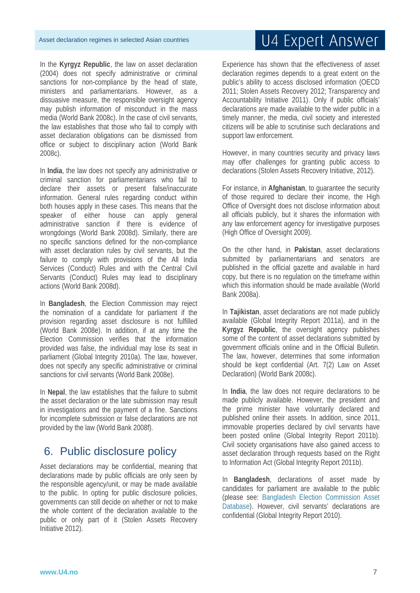In the **Kyrgyz Republic**, the law on asset declaration (2004) does not specify administrative or criminal sanctions for non-compliance by the head of state, ministers and parliamentarians. However, as a dissuasive measure, the responsible oversight agency may publish information of misconduct in the mass media (World Bank 2008c). In the case of civil servants, the law establishes that those who fail to comply with asset declaration obligations can be dismissed from office or subject to disciplinary action (World Bank 2008c).

In **India**, the law does not specify any administrative or criminal sanction for parliamentarians who fail to declare their assets or present false/inaccurate information. General rules regarding conduct within both houses apply in these cases. This means that the speaker of either house can apply general administrative sanction if there is evidence of wrongdoings (World Bank 2008d). Similarly, there are no specific sanctions defined for the non-compliance with asset declaration rules by civil servants, but the failure to comply with provisions of the All India Services (Conduct) Rules and with the Central Civil Servants (Conduct) Rules may lead to disciplinary actions (World Bank 2008d).

In **Bangladesh**, the Election Commission may reject the nomination of a candidate for parliament if the provision regarding asset disclosure is not fulfilled (World Bank 2008e). In addition, if at any time the Election Commission verifies that the information provided was false, the individual may lose its seat in parliament (Global Integrity 2010a). The law, however, does not specify any specific administrative or criminal sanctions for civil servants (World Bank 2008e).

In **Nepal**, the law establishes that the failure to submit the asset declaration or the late submission may result in investigations and the payment of a fine. Sanctions for incomplete submission or false declarations are not provided by the law (World Bank 2008f).

### 6. Public disclosure policy

Asset declarations may be confidential, meaning that declarations made by public officials are only seen by the responsible agency/unit, or may be made available to the public. In opting for public disclosure policies, governments can still decide on whether or not to make the whole content of the declaration available to the public or only part of it (Stolen Assets Recovery Initiative 2012).

# U4 Expert Answer

Experience has shown that the effectiveness of asset declaration regimes depends to a great extent on the public's ability to access disclosed information (OECD 2011; Stolen Assets Recovery 2012; Transparency and Accountability Initiative 2011). Only if public officials' declarations are made available to the wider public in a timely manner, the media, civil society and interested citizens will be able to scrutinise such declarations and support law enforcement.

However, in many countries security and privacy laws may offer challenges for granting public access to declarations (Stolen Assets Recovery Initiative, 2012).

For instance, in **Afghanistan**, to guarantee the security of those required to declare their income, the High Office of Oversight does not disclose information about all officials publicly, but it shares the information with any law enforcement agency for investigative purposes (High Office of Oversight 2009).

On the other hand, in **Pakistan**, asset declarations submitted by parliamentarians and senators are published in the official gazette and available in hard copy, but there is no regulation on the timeframe within which this information should be made available (World Bank 2008a).

In **Tajikistan**, asset declarations are not made publicly available (Global Integrity Report 2011a), and in the **Kyrgyz Republic**, the oversight agency publishes some of the content of asset declarations submitted by government officials online and in the Official Bulletin. The law, however, determines that some information should be kept confidential (Art. 7(2) Law on Asset Declaration) (World Bank 2008c).

In **India**, the law does not require declarations to be made publicly available. However, the president and the prime minister have voluntarily declared and published online their assets. In addition, since 2011, immovable properties declared by civil servants have been posted online (Global Integrity Report 2011b). Civil society organisations have also gained access to asset declaration through requests based on the Right to Information Act (Global Integrity Report 2011b).

In **Bangladesh**, declarations of asset made by candidates for parliament are available to the public (please see: Bangladesh Election Commission Asset Database). However, civil servants' declarations are confidential (Global Integrity Report 2010).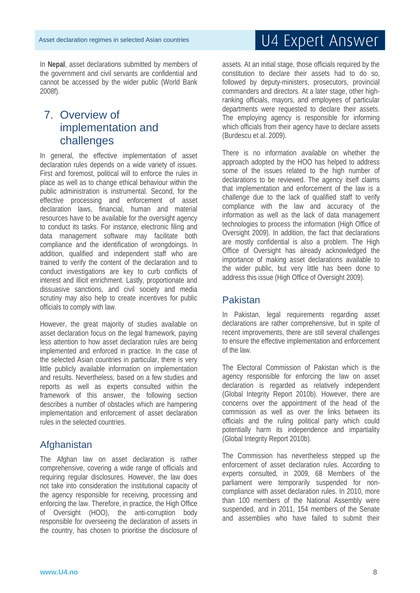In **Nepal**, asset declarations submitted by members of the government and civil servants are confidential and cannot be accessed by the wider public (World Bank 2008f).

### 7. Overview of implementation and challenges

In general, the effective implementation of asset declaration rules depends on a wide variety of issues. First and foremost, political will to enforce the rules in place as well as to change ethical behaviour within the public administration is instrumental. Second, for the effective processing and enforcement of asset declaration laws, financial, human and material resources have to be available for the oversight agency to conduct its tasks. For instance, electronic filing and data management software may facilitate both compliance and the identification of wrongdoings. In addition, qualified and independent staff who are trained to verify the content of the declaration and to conduct investigations are key to curb conflicts of interest and illicit enrichment. Lastly, proportionate and dissuasive sanctions, and civil society and media scrutiny may also help to create incentives for public officials to comply with law.

However, the great majority of studies available on asset declaration focus on the legal framework, paying less attention to how asset declaration rules are being implemented and enforced in practice. In the case of the selected Asian countries in particular, there is very little publicly available information on implementation and results. Nevertheless, based on a few studies and reports as well as experts consulted within the framework of this answer, the following section describes a number of obstacles which are hampering implementation and enforcement of asset declaration rules in the selected countries.

### **Afghanistan**

The Afghan law on asset declaration is rather comprehensive, covering a wide range of officials and requiring regular disclosures. However, the law does not take into consideration the institutional capacity of the agency responsible for receiving, processing and enforcing the law. Therefore, in practice, the High Office of Oversight (HOO), the anti-corruption body responsible for overseeing the declaration of assets in the country, has chosen to prioritise the disclosure of

assets. At an initial stage, those officials required by the constitution to declare their assets had to do so, followed by deputy-ministers, prosecutors, provincial commanders and directors. At a later stage, other highranking officials, mayors, and employees of particular departments were requested to declare their assets. The employing agency is responsible for informing which officials from their agency have to declare assets (Burdescu et al. 2009).

There is no information available on whether the approach adopted by the HOO has helped to address some of the issues related to the high number of declarations to be reviewed. The agency itself claims that implementation and enforcement of the law is a challenge due to the lack of qualified staff to verify compliance with the law and accuracy of the information as well as the lack of data management technologies to process the information (High Office of Oversight 2009). In addition, the fact that declarations are mostly confidential is also a problem. The High Office of Oversight has already acknowledged the importance of making asset declarations available to the wider public, but very little has been done to address this issue (High Office of Oversight 2009).

#### Pakistan

In Pakistan, legal requirements regarding asset declarations are rather comprehensive, but in spite of recent improvements, there are still several challenges to ensure the effective implementation and enforcement of the law.

The Electoral Commission of Pakistan which is the agency responsible for enforcing the law on asset declaration is regarded as relatively independent (Global Integrity Report 2010b). However, there are concerns over the appointment of the head of the commission as well as over the links between its officials and the ruling political party which could potentially harm its independence and impartiality (Global Integrity Report 2010b).

The Commission has nevertheless stepped up the enforcement of asset declaration rules. According to experts consulted, in 2009, 68 Members of the parliament were temporarily suspended for noncompliance with asset declaration rules. In 2010, more than 100 members of the National Assembly were suspended, and in 2011, 154 members of the Senate and assemblies who have failed to submit their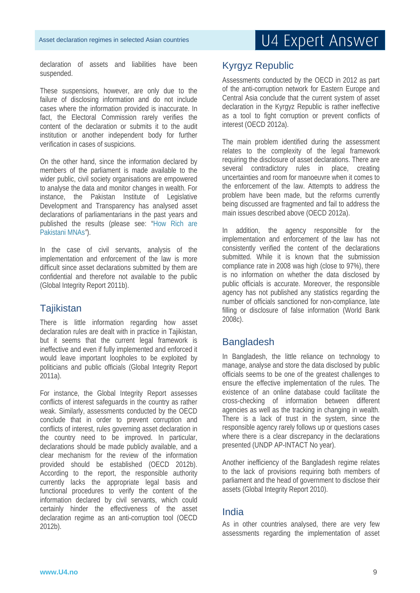declaration of assets and liabilities have been suspended.

These suspensions, however, are only due to the failure of disclosing information and do not include cases where the information provided is inaccurate. In fact, the Electoral Commission rarely verifies the content of the declaration or submits it to the audit institution or another independent body for further verification in cases of suspicions.

On the other hand, since the information declared by members of the parliament is made available to the wider public, civil society organisations are empowered to analyse the data and monitor changes in wealth. For instance, the Pakistan Institute of Legislative Development and Transparency has analysed asset declarations of parliamentarians in the past years and published the results (please see: "How Rich are Pakistani MNAs*"*).

In the case of civil servants, analysis of the implementation and enforcement of the law is more difficult since asset declarations submitted by them are confidential and therefore not available to the public (Global Integrity Report 2011b).

### **Tajikistan**

There is little information regarding how asset declaration rules are dealt with in practice in Tajikistan, but it seems that the current legal framework is ineffective and even if fully implemented and enforced it would leave important loopholes to be exploited by politicians and public officials (Global Integrity Report 2011a).

For instance, the Global Integrity Report assesses conflicts of interest safeguards in the country as rather weak. Similarly, assessments conducted by the OECD conclude that in order to prevent corruption and conflicts of interest, rules governing asset declaration in the country need to be improved. In particular, declarations should be made publicly available, and a clear mechanism for the review of the information provided should be established (OECD 2012b). According to the report, the responsible authority currently lacks the appropriate legal basis and functional procedures to verify the content of the information declared by civil servants, which could certainly hinder the effectiveness of the asset declaration regime as an anti-corruption tool (OECD 2012b).

### Kyrgyz Republic

Assessments conducted by the OECD in 2012 as part of the anti-corruption network for Eastern Europe and Central Asia conclude that the current system of asset declaration in the Kyrgyz Republic is rather ineffective as a tool to fight corruption or prevent conflicts of interest (OECD 2012a).

The main problem identified during the assessment relates to the complexity of the legal framework requiring the disclosure of asset declarations. There are several contradictory rules in place, creating uncertainties and room for manoeuvre when it comes to the enforcement of the law. Attempts to address the problem have been made, but the reforms currently being discussed are fragmented and fail to address the main issues described above (OECD 2012a).

In addition, the agency responsible for the implementation and enforcement of the law has not consistently verified the content of the declarations submitted. While it is known that the submission compliance rate in 2008 was high (close to 97%), there is no information on whether the data disclosed by public officials is accurate. Moreover, the responsible agency has not published any statistics regarding the number of officials sanctioned for non-compliance, late filling or disclosure of false information (World Bank 2008c).

### Bangladesh

In Bangladesh, the little reliance on technology to manage, analyse and store the data disclosed by public officials seems to be one of the greatest challenges to ensure the effective implementation of the rules. The existence of an online database could facilitate the cross-checking of information between different agencies as well as the tracking in changing in wealth. There is a lack of trust in the system, since the responsible agency rarely follows up or questions cases where there is a clear discrepancy in the declarations presented (UNDP AP-INTACT No year).

Another inefficiency of the Bangladesh regime relates to the lack of provisions requiring both members of parliament and the head of government to disclose their assets (Global Integrity Report 2010).

### India

As in other countries analysed, there are very few assessments regarding the implementation of asset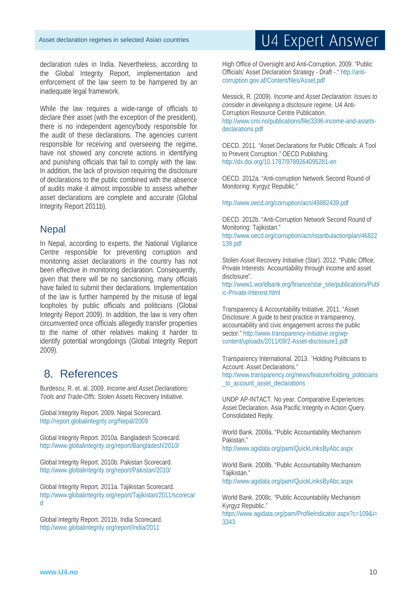declaration rules in India. Nevertheless, according to the Global Integrity Report, implementation and enforcement of the law seem to be hampered by an inadequate legal framework.

While the law requires a wide-range of officials to declare their asset (with the exception of the president), there is no independent agency/body responsible for the audit of these declarations. The agencies current responsible for receiving and overseeing the regime, have not showed any concrete actions in identifying and punishing officials that fail to comply with the law. In addition, the lack of provision requiring the disclosure of declarations to the public combined with the absence of audits make it almost impossible to assess whether asset declarations are complete and accurate (Global Integrity Report 2011b).

### **Nepal**

In Nepal, according to experts, the National Vigilance Centre responsible for preventing corruption and monitoring asset declarations in the country has not been effective in monitoring declaration. Consequently, given that there will be no sanctioning, many officials have failed to submit their declarations. Implementation of the law is further hampered by the misuse of legal loopholes by public officials and politicians (Global Integrity Report 2009). In addition, the law is very often circumvented once officials allegedly transfer properties to the name of other relatives making it harder to identify potential wrongdoings (Global Integrity Report 2009).

### 8. References

Burdescu, R. et. al. 2009. *Income and Asset Declarations: Tools and Trade-Offs*. Stolen Assets Recovery Initiative.

Global Integrity Report. 2009. Nepal Scorecard. http://report.globalintegrity.org/Nepal/2009

Global Integrity Report. 2010a. Bangladesh Scorecard. http://www.globalintegrity.org/report/Bangladesh/2010/

Global Integrity Report. 2010b. Pakistan Scorecard. http://www.globalintegrity.org/report/Pakistan/2010/

Global Integrity Report. 2011a. Tajikistan Scorecard. http://www.globalintegrity.org/report/Tajikistan/2011/scorecar d

Global Integrity Report. 2011b. India Scorecard. http://www.globalintegrity.org/report/India/2011

High Office of Oversight and Anti-Corruption. 2009. "Public Officials' Asset Declaration Strategy - Draft -." http://anticorruption.gov.af/Content/files/Asset.pdf

Messick, R. (2009). *Income and Asset Declaration: Issues to consider in developing a disclosure regime*. U4 Anti-Corruption Resource Centre Publication. http://www.cmi.no/publications/file/3396-income-and-assetsdeclarations.pdf

OECD. 2011*. "*Asset Declarations for Public Officials: A Tool to Prevent Corruption.*"* OECD Publishing. http://dx.doi.org/10.1787/9789264095281-en

OECD. 2012a. "Anti-corruption Network Second Round of Monitoring: Kyrgyz Republic."

http://www.oecd.org/corruption/acn/49882439.pdf

OECD. 2012b. "Anti-Corruption Network Second Round of Monitoring: Tajikistan." http://www.oecd.org/corruption/acn/istanbulactionplan/46822 139.pdf

Stolen Asset Recovery Initiative (Star). 2012. "Public Office, Private Interests: Accountability through income and asset disclosure". http://www1.worldbank.org/finance/star\_site/publications/Publ

ic-Private-Interest.html

Transparency & Accountability Initiative. 2011. "Asset Disclosure: A guide to best practice in transparency, accountability and civic engagement across the public sector." http://www.transparency-initiative.org/wpcontent/uploads/2011/09/2-Asset-disclosure1.pdf

Transparency International. 2013. "Holding Politicians to Account: Asset Declarations."

http://www.transparency.org/news/feature/holding\_politicians to account asset declarations

UNDP AP-INTACT. No year. Comparative Experiences: Asset Declaration. Asia Pacific Integrity in Action Query. Consolidated Reply.

World Bank. 2008a. "Public Accountability Mechanism Pakistan."

http://www.agidata.org/pam/QuickLinksByAbc.aspx

World Bank. 2008b. "Public Accountability Mechanism Tajikistan." http://www.agidata.org/pam/QuickLinksByAbc.aspx

World Bank. 2008c. "Public Accountability Mechanism Kyrgyz Republic." https://www.agidata.org/pam/ProfileIndicator.aspx?c=109&i= 3343